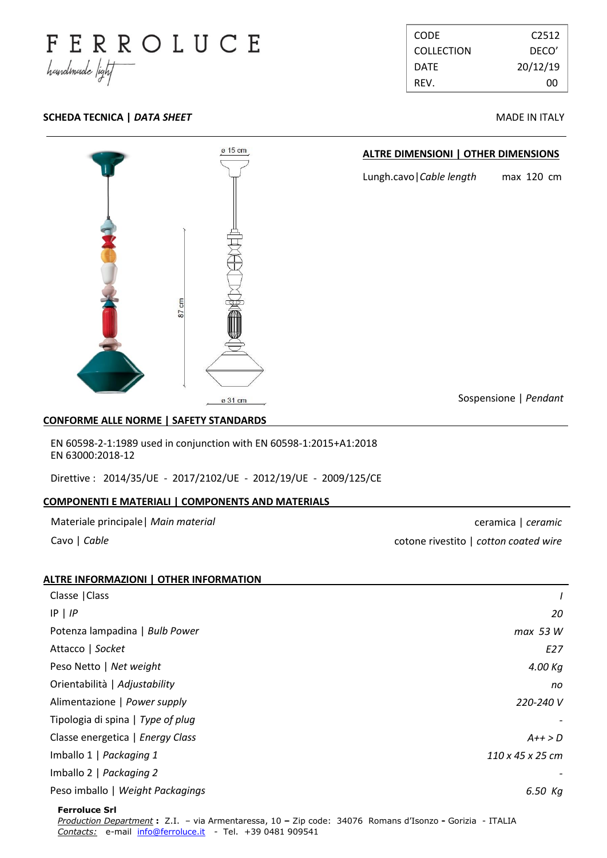

| <b>CODE</b>       | C <sub>2512</sub> |
|-------------------|-------------------|
| <b>COLLECTION</b> | DECO'             |
| DATE              | 20/12/19          |
| REV.              | nn                |

# **SCHEDA TECNICA |** *DATA SHEET* **MADE IN ITALY**



### **CONFORME ALLE NORME | SAFETY STANDARDS .**

EN 60598-2-1:1989 used in conjunction with EN 60598-1:2015+A1:2018 EN 63000:2018-12

Direttive : 2014/35/UE - 2017/2102/UE - 2012/19/UE - 2009/125/CE

# **COMPONENTI E MATERIALI | COMPONENTS AND MATERIALS .**

|  | Materiale principale   Main material |  |  |
|--|--------------------------------------|--|--|
|--|--------------------------------------|--|--|

Cavo | *Cable*

ceramica | *ceramic* cotone rivestito | *cotton coated wire*

| ALTRE INFORMAZIONI   OTHER INFORMATION |                  |
|----------------------------------------|------------------|
| Classe   Class                         |                  |
| $IP$   $IP$                            | 20               |
| Potenza lampadina   Bulb Power         | max 53 W         |
| Attacco   Socket                       | E27              |
| Peso Netto   Net weight                | 4.00 Kg          |
| Orientabilità   Adjustability          | no               |
| Alimentazione   Power supply           | 220-240 V        |
| Tipologia di spina   Type of plug      |                  |
| Classe energetica   Energy Class       | $A++>D$          |
| Imballo 1   Packaging 1                | 110 x 45 x 25 cm |
| Imballo 2   Packaging 2                |                  |
| Peso imballo   Weight Packagings       | 6.50 Kg          |
| <b>Ferroluce Srl</b>                   |                  |